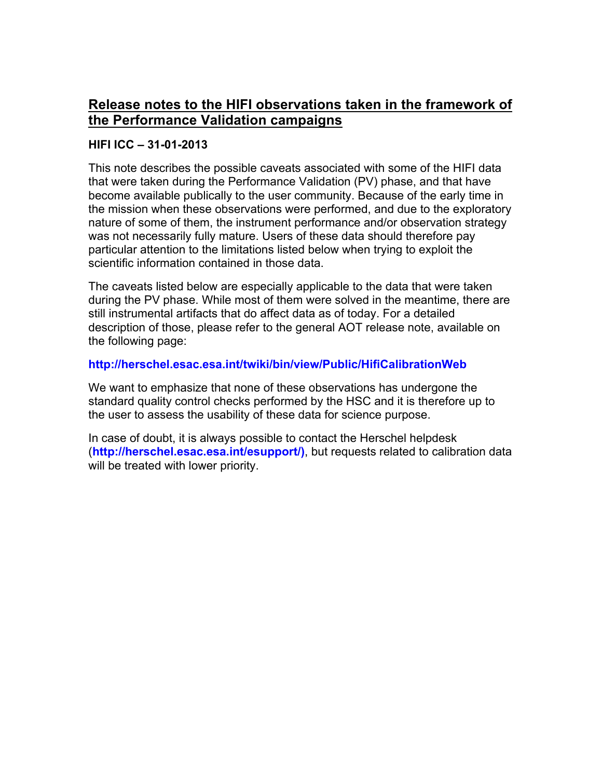# **Release notes to the HIFI observations taken in the framework of the Performance Validation campaigns**

#### **HIFI ICC – 31-01-2013**

This note describes the possible caveats associated with some of the HIFI data that were taken during the Performance Validation (PV) phase, and that have become available publically to the user community. Because of the early time in the mission when these observations were performed, and due to the exploratory nature of some of them, the instrument performance and/or observation strategy was not necessarily fully mature. Users of these data should therefore pay particular attention to the limitations listed below when trying to exploit the scientific information contained in those data.

The caveats listed below are especially applicable to the data that were taken during the PV phase. While most of them were solved in the meantime, there are still instrumental artifacts that do affect data as of today. For a detailed description of those, please refer to the general AOT release note, available on the following page:

#### **http://herschel.esac.esa.int/twiki/bin/view/Public/HifiCalibrationWeb**

We want to emphasize that none of these observations has undergone the standard quality control checks performed by the HSC and it is therefore up to the user to assess the usability of these data for science purpose.

In case of doubt, it is always possible to contact the Herschel helpdesk (**http://herschel.esac.esa.int/esupport/)**, but requests related to calibration data will be treated with lower priority.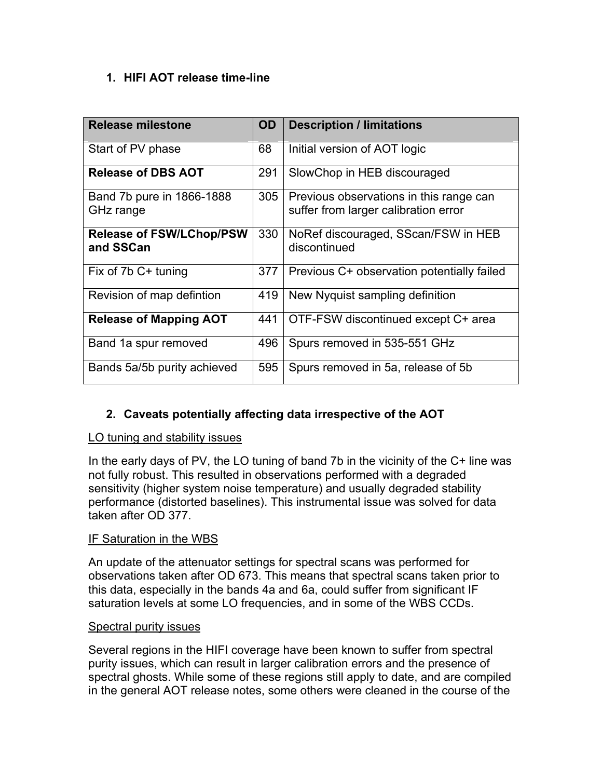## **1. HIFI AOT release time-line**

| <b>Release milestone</b>                     | <b>OD</b> | <b>Description / limitations</b>                                                |
|----------------------------------------------|-----------|---------------------------------------------------------------------------------|
| Start of PV phase                            | 68        | Initial version of AOT logic                                                    |
| <b>Release of DBS AOT</b>                    | 291       | SlowChop in HEB discouraged                                                     |
| Band 7b pure in 1866-1888<br>GHz range       | 305       | Previous observations in this range can<br>suffer from larger calibration error |
| <b>Release of FSW/LChop/PSW</b><br>and SSCan | 330       | NoRef discouraged, SScan/FSW in HEB<br>discontinued                             |
| Fix of 7b C+ tuning                          | 377       | Previous C+ observation potentially failed                                      |
| Revision of map defintion                    | 419       | New Nyquist sampling definition                                                 |
| <b>Release of Mapping AOT</b>                | 441       | OTF-FSW discontinued except C+ area                                             |
| Band 1a spur removed                         | 496       | Spurs removed in 535-551 GHz                                                    |
| Bands 5a/5b purity achieved                  | 595       | Spurs removed in 5a, release of 5b                                              |

## **2. Caveats potentially affecting data irrespective of the AOT**

#### LO tuning and stability issues

In the early days of PV, the LO tuning of band 7b in the vicinity of the C+ line was not fully robust. This resulted in observations performed with a degraded sensitivity (higher system noise temperature) and usually degraded stability performance (distorted baselines). This instrumental issue was solved for data taken after OD 377.

## IF Saturation in the WBS

An update of the attenuator settings for spectral scans was performed for observations taken after OD 673. This means that spectral scans taken prior to this data, especially in the bands 4a and 6a, could suffer from significant IF saturation levels at some LO frequencies, and in some of the WBS CCDs.

#### Spectral purity issues

Several regions in the HIFI coverage have been known to suffer from spectral purity issues, which can result in larger calibration errors and the presence of spectral ghosts. While some of these regions still apply to date, and are compiled in the general AOT release notes, some others were cleaned in the course of the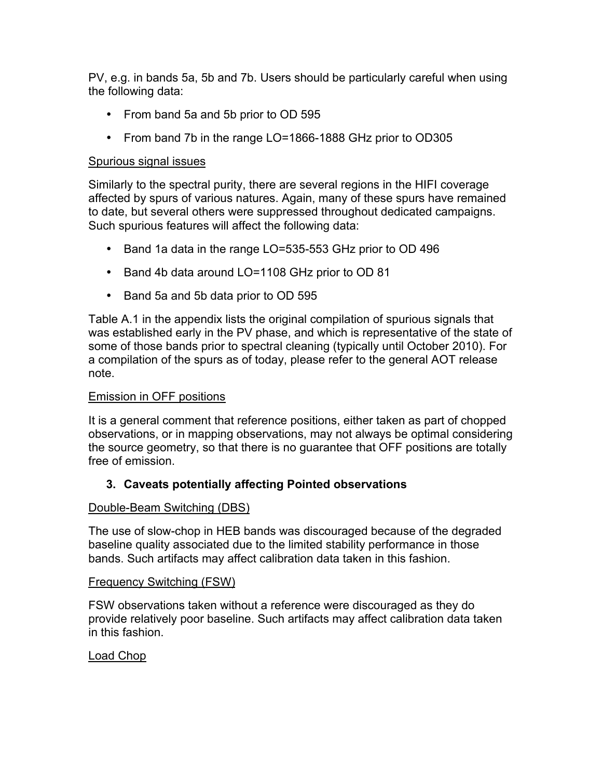PV, e.g. in bands 5a, 5b and 7b. Users should be particularly careful when using the following data:

- From band 5a and 5b prior to OD 595
- From band 7b in the range LO=1866-1888 GHz prior to OD305

## Spurious signal issues

Similarly to the spectral purity, there are several regions in the HIFI coverage affected by spurs of various natures. Again, many of these spurs have remained to date, but several others were suppressed throughout dedicated campaigns. Such spurious features will affect the following data:

- Band 1a data in the range LO=535-553 GHz prior to OD 496
- Band 4b data around LO=1108 GHz prior to OD 81
- Band 5a and 5b data prior to OD 595

Table A.1 in the appendix lists the original compilation of spurious signals that was established early in the PV phase, and which is representative of the state of some of those bands prior to spectral cleaning (typically until October 2010). For a compilation of the spurs as of today, please refer to the general AOT release note.

## Emission in OFF positions

It is a general comment that reference positions, either taken as part of chopped observations, or in mapping observations, may not always be optimal considering the source geometry, so that there is no guarantee that OFF positions are totally free of emission.

## **3. Caveats potentially affecting Pointed observations**

## Double-Beam Switching (DBS)

The use of slow-chop in HEB bands was discouraged because of the degraded baseline quality associated due to the limited stability performance in those bands. Such artifacts may affect calibration data taken in this fashion.

#### Frequency Switching (FSW)

FSW observations taken without a reference were discouraged as they do provide relatively poor baseline. Such artifacts may affect calibration data taken in this fashion.

## Load Chop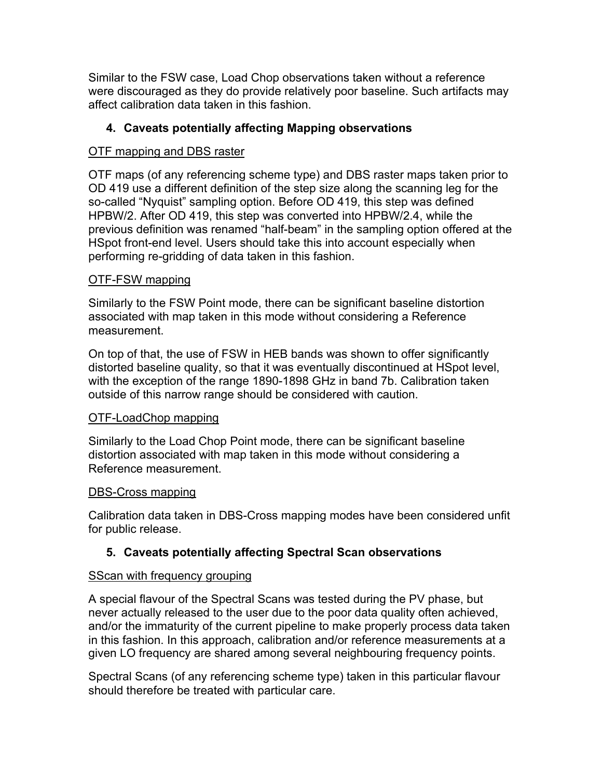Similar to the FSW case, Load Chop observations taken without a reference were discouraged as they do provide relatively poor baseline. Such artifacts may affect calibration data taken in this fashion.

## **4. Caveats potentially affecting Mapping observations**

## OTF mapping and DBS raster

OTF maps (of any referencing scheme type) and DBS raster maps taken prior to OD 419 use a different definition of the step size along the scanning leg for the so-called "Nyquist" sampling option. Before OD 419, this step was defined HPBW/2. After OD 419, this step was converted into HPBW/2.4, while the previous definition was renamed "half-beam" in the sampling option offered at the HSpot front-end level. Users should take this into account especially when performing re-gridding of data taken in this fashion.

#### OTF-FSW mapping

Similarly to the FSW Point mode, there can be significant baseline distortion associated with map taken in this mode without considering a Reference measurement.

On top of that, the use of FSW in HEB bands was shown to offer significantly distorted baseline quality, so that it was eventually discontinued at HSpot level, with the exception of the range 1890-1898 GHz in band 7b. Calibration taken outside of this narrow range should be considered with caution.

## OTF-LoadChop mapping

Similarly to the Load Chop Point mode, there can be significant baseline distortion associated with map taken in this mode without considering a Reference measurement.

#### DBS-Cross mapping

Calibration data taken in DBS-Cross mapping modes have been considered unfit for public release.

## **5. Caveats potentially affecting Spectral Scan observations**

#### SScan with frequency grouping

A special flavour of the Spectral Scans was tested during the PV phase, but never actually released to the user due to the poor data quality often achieved, and/or the immaturity of the current pipeline to make properly process data taken in this fashion. In this approach, calibration and/or reference measurements at a given LO frequency are shared among several neighbouring frequency points.

Spectral Scans (of any referencing scheme type) taken in this particular flavour should therefore be treated with particular care.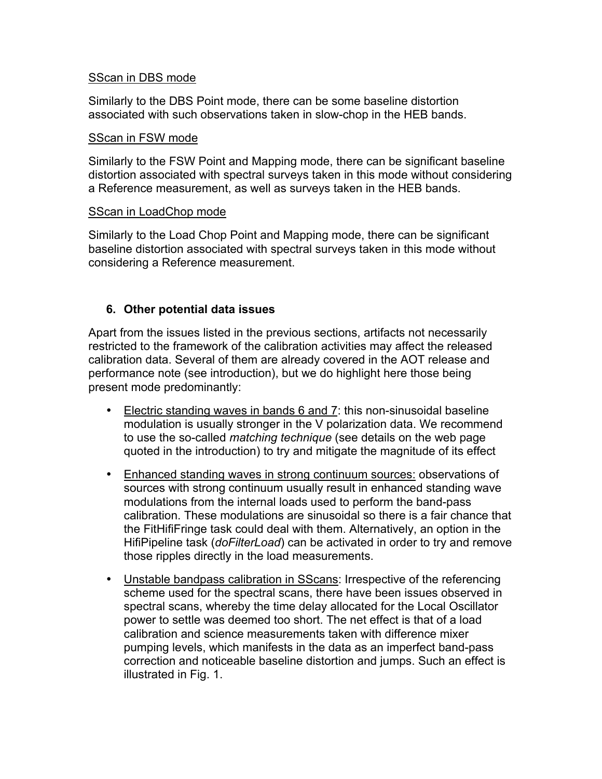#### SScan in DBS mode

Similarly to the DBS Point mode, there can be some baseline distortion associated with such observations taken in slow-chop in the HEB bands.

#### SScan in FSW mode

Similarly to the FSW Point and Mapping mode, there can be significant baseline distortion associated with spectral surveys taken in this mode without considering a Reference measurement, as well as surveys taken in the HEB bands.

#### SScan in LoadChop mode

Similarly to the Load Chop Point and Mapping mode, there can be significant baseline distortion associated with spectral surveys taken in this mode without considering a Reference measurement.

#### **6. Other potential data issues**

Apart from the issues listed in the previous sections, artifacts not necessarily restricted to the framework of the calibration activities may affect the released calibration data. Several of them are already covered in the AOT release and performance note (see introduction), but we do highlight here those being present mode predominantly:

- Electric standing waves in bands 6 and 7: this non-sinusoidal baseline modulation is usually stronger in the V polarization data. We recommend to use the so-called *matching technique* (see details on the web page quoted in the introduction) to try and mitigate the magnitude of its effect
- Enhanced standing waves in strong continuum sources: observations of sources with strong continuum usually result in enhanced standing wave modulations from the internal loads used to perform the band-pass calibration. These modulations are sinusoidal so there is a fair chance that the FitHifiFringe task could deal with them. Alternatively, an option in the HifiPipeline task (*doFilterLoad*) can be activated in order to try and remove those ripples directly in the load measurements.
- Unstable bandpass calibration in SScans: Irrespective of the referencing scheme used for the spectral scans, there have been issues observed in spectral scans, whereby the time delay allocated for the Local Oscillator power to settle was deemed too short. The net effect is that of a load calibration and science measurements taken with difference mixer pumping levels, which manifests in the data as an imperfect band-pass correction and noticeable baseline distortion and jumps. Such an effect is illustrated in Fig. 1.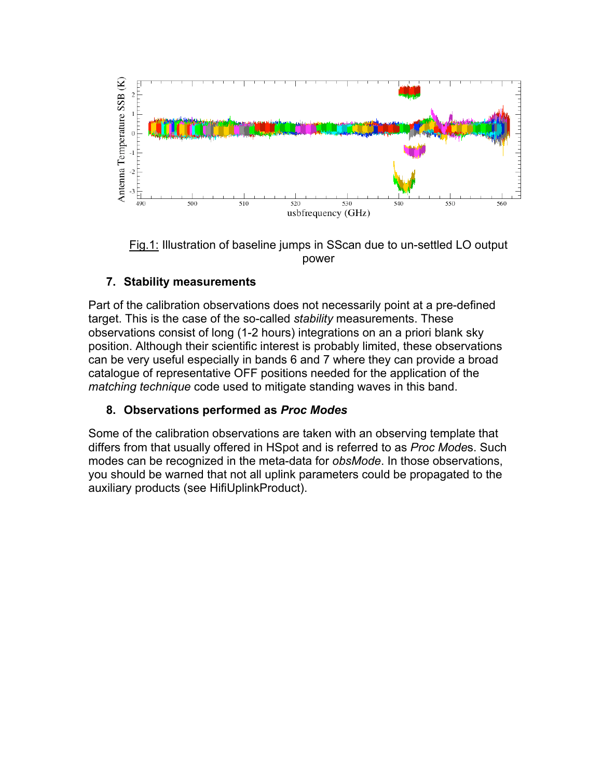

Fig.1: Illustration of baseline jumps in SScan due to un-settled LO output power

## **7. Stability measurements**

Part of the calibration observations does not necessarily point at a pre-defined target. This is the case of the so-called *stability* measurements. These observations consist of long (1-2 hours) integrations on an a priori blank sky position. Although their scientific interest is probably limited, these observations can be very useful especially in bands 6 and 7 where they can provide a broad catalogue of representative OFF positions needed for the application of the *matching technique* code used to mitigate standing waves in this band.

## **8. Observations performed as** *Proc Modes*

Some of the calibration observations are taken with an observing template that differs from that usually offered in HSpot and is referred to as *Proc Mode*s. Such modes can be recognized in the meta-data for *obsMode*. In those observations, you should be warned that not all uplink parameters could be propagated to the auxiliary products (see HifiUplinkProduct).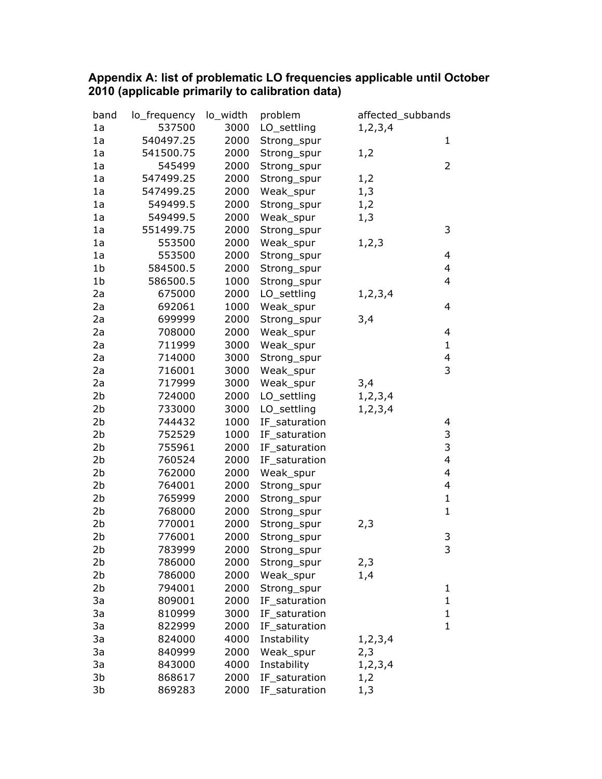#### **Appendix A: list of problematic LO frequencies applicable until October 2010 (applicable primarily to calibration data)**

| band           | lo_frequency | lo_width | problem       | affected_subbands |                         |
|----------------|--------------|----------|---------------|-------------------|-------------------------|
| 1a             | 537500       | 3000     | LO_settling   | 1, 2, 3, 4        |                         |
| 1a             | 540497.25    | 2000     | Strong_spur   |                   | 1                       |
| 1a             | 541500.75    | 2000     | Strong_spur   | 1,2               |                         |
| 1a             | 545499       | 2000     | Strong_spur   |                   | $\overline{2}$          |
| 1a             | 547499.25    | 2000     | Strong_spur   | 1,2               |                         |
| 1a             | 547499.25    | 2000     | Weak_spur     | 1,3               |                         |
| 1a             | 549499.5     | 2000     | Strong_spur   | 1,2               |                         |
| 1a             | 549499.5     | 2000     | Weak_spur     | 1,3               |                         |
| 1a             | 551499.75    | 2000     | Strong_spur   |                   | 3                       |
| 1a             | 553500       | 2000     | Weak_spur     | 1, 2, 3           |                         |
| 1a             | 553500       | 2000     | Strong_spur   |                   | 4                       |
| 1b             | 584500.5     | 2000     | Strong_spur   |                   | 4                       |
| 1 <sub>b</sub> | 586500.5     | 1000     | Strong_spur   |                   | 4                       |
| 2a             | 675000       | 2000     | LO_settling   | 1, 2, 3, 4        |                         |
| 2a             | 692061       | 1000     | Weak_spur     |                   | 4                       |
| 2a             | 699999       | 2000     | Strong_spur   | 3,4               |                         |
| 2a             | 708000       | 2000     | Weak_spur     |                   | 4                       |
| 2a             | 711999       | 3000     | Weak_spur     |                   | $\mathbf{1}$            |
| 2a             | 714000       | 3000     | Strong_spur   |                   | 4                       |
| 2a             | 716001       | 3000     | Weak_spur     |                   | $\overline{3}$          |
| 2a             | 717999       | 3000     | Weak_spur     | 3,4               |                         |
| 2 <sub>b</sub> | 724000       | 2000     | LO_settling   | 1, 2, 3, 4        |                         |
| 2b             | 733000       | 3000     | LO_settling   | 1,2,3,4           |                         |
| 2b             | 744432       | 1000     | IF_saturation |                   | 4                       |
| 2 <sub>b</sub> | 752529       | 1000     | IF_saturation |                   | 3                       |
| 2 <sub>b</sub> | 755961       | 2000     | IF_saturation |                   | $\overline{3}$          |
| 2 <sub>b</sub> | 760524       | 2000     | IF_saturation |                   | $\overline{\mathbf{4}}$ |
| 2 <sub>b</sub> | 762000       | 2000     | Weak_spur     |                   | 4                       |
| 2b             | 764001       | 2000     | Strong_spur   |                   | 4                       |
| 2b             | 765999       | 2000     | Strong_spur   |                   | $\mathbf{1}$            |
| 2 <sub>b</sub> | 768000       | 2000     | Strong_spur   |                   | $\mathbf{1}$            |
| 2b             | 770001       | 2000     | Strong_spur   | 2,3               |                         |
| 2 <sub>b</sub> | 776001       | 2000     | Strong_spur   |                   | 3                       |
| 2 <sub>b</sub> | 783999       | 2000     | Strong_spur   |                   | 3                       |
| 2b             | 786000       | 2000     | Strong_spur   | 2,3               |                         |
| 2b             | 786000       | 2000     | Weak_spur     | 1,4               |                         |
| 2b             | 794001       | 2000     | Strong_spur   |                   | 1                       |
| 3a             | 809001       | 2000     | IF_saturation |                   | $\mathbf{1}$            |
| 3a             | 810999       | 3000     | IF saturation |                   | 1                       |
| 3a             | 822999       | 2000     | IF_saturation |                   | $\mathbf{1}$            |
| 3a             | 824000       | 4000     | Instability   | 1, 2, 3, 4        |                         |
| 3a             | 840999       | 2000     | Weak_spur     | 2,3               |                         |
| 3a             | 843000       | 4000     | Instability   | 1, 2, 3, 4        |                         |
| 3b             | 868617       | 2000     | IF_saturation | 1,2               |                         |
| 3b             | 869283       | 2000     | IF_saturation | 1,3               |                         |
|                |              |          |               |                   |                         |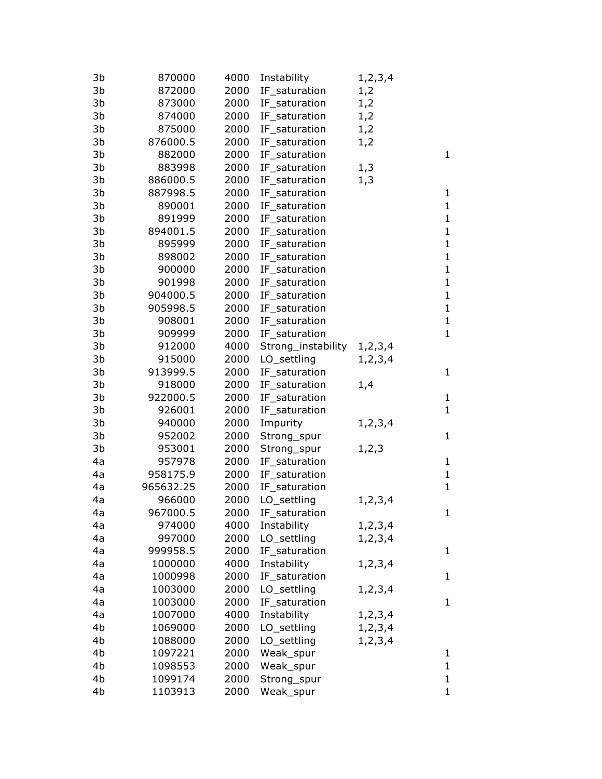| 3b | 870000    | 4000 | Instability        | 1, 2, 3, 4 |              |
|----|-----------|------|--------------------|------------|--------------|
| 3b | 872000    | 2000 | IF_saturation      | 1,2        |              |
| 3b | 873000    | 2000 | IF_saturation      | 1,2        |              |
| 3b | 874000    | 2000 | IF_saturation      | 1,2        |              |
| 3b | 875000    | 2000 | IF saturation      | 1,2        |              |
| 3b | 876000.5  | 2000 | IF_saturation      | 1,2        |              |
| 3b | 882000    | 2000 | IF_saturation      |            | $\mathbf{1}$ |
| 3b | 883998    | 2000 | IF_saturation      | 1,3        |              |
| 3b | 886000.5  | 2000 | IF_saturation      | 1,3        |              |
| 3b | 887998.5  | 2000 | IF_saturation      |            | $\mathbf{1}$ |
| 3b | 890001    | 2000 | IF_saturation      |            | $\mathbf{1}$ |
| 3b | 891999    | 2000 | IF_saturation      |            | $\mathbf{1}$ |
| 3b | 894001.5  | 2000 | IF_saturation      |            | $\mathbf{1}$ |
| 3b | 895999    | 2000 | IF_saturation      |            | $\mathbf{1}$ |
| 3b | 898002    | 2000 | IF_saturation      |            | $\mathbf{1}$ |
| 3b | 900000    | 2000 | IF_saturation      |            | $\mathbf{1}$ |
| 3b | 901998    | 2000 | IF_saturation      |            | $\mathbf{1}$ |
| 3b | 904000.5  | 2000 | IF_saturation      |            | $\mathbf{1}$ |
| 3b | 905998.5  | 2000 | IF_saturation      |            | $\mathbf{1}$ |
| 3b | 908001    | 2000 | IF_saturation      |            | $\mathbf{1}$ |
| 3b | 909999    | 2000 | IF_saturation      |            | $\mathbf{1}$ |
| 3b | 912000    | 4000 | Strong_instability | 1,2,3,4    |              |
| 3b | 915000    | 2000 | LO_settling        | 1, 2, 3, 4 |              |
| 3b | 913999.5  | 2000 | IF_saturation      |            | $\mathbf{1}$ |
| 3b | 918000    | 2000 | IF_saturation      | 1,4        |              |
| 3b | 922000.5  | 2000 | IF_saturation      |            | $\mathbf{1}$ |
| 3b | 926001    | 2000 | IF_saturation      |            | $\mathbf{1}$ |
| 3b | 940000    | 2000 | Impurity           | 1,2,3,4    |              |
| 3b | 952002    | 2000 | Strong_spur        |            | $\mathbf{1}$ |
| 3b | 953001    | 2000 | Strong_spur        | 1, 2, 3    |              |
| 4a | 957978    | 2000 | IF_saturation      |            | $\mathbf{1}$ |
| 4a | 958175.9  | 2000 | IF_saturation      |            | $\mathbf{1}$ |
| 4a | 965632.25 | 2000 | IF saturation      |            | $\mathbf{1}$ |
| 4a | 966000    | 2000 | LO_settling        | 1, 2, 3, 4 |              |
| 4a | 967000.5  | 2000 | IF_saturation      |            | $\mathbf{1}$ |
| 4a | 974000    | 4000 | Instability        | 1, 2, 3, 4 |              |
| 4a | 997000    | 2000 | LO_settling        | 1, 2, 3, 4 |              |
| 4a | 999958.5  | 2000 | IF_saturation      |            | $\mathbf 1$  |
| 4a | 1000000   | 4000 | Instability        | 1, 2, 3, 4 |              |
| 4a | 1000998   | 2000 | IF_saturation      |            | $\mathbf{1}$ |
| 4a | 1003000   | 2000 | LO_settling        | 1,2,3,4    |              |
| 4a | 1003000   | 2000 | IF_saturation      |            | $\mathbf 1$  |
| 4a | 1007000   | 4000 | Instability        | 1, 2, 3, 4 |              |
| 4b | 1069000   | 2000 | LO_settling        | 1, 2, 3, 4 |              |
| 4b | 1088000   | 2000 | LO_settling        | 1, 2, 3, 4 |              |
| 4b | 1097221   | 2000 | Weak_spur          |            | $\mathbf 1$  |
| 4b | 1098553   | 2000 | Weak_spur          |            | $\mathbf{1}$ |
| 4b | 1099174   | 2000 | Strong_spur        |            | $\mathbf{1}$ |
| 4b | 1103913   | 2000 | Weak_spur          |            | $\mathbf{1}$ |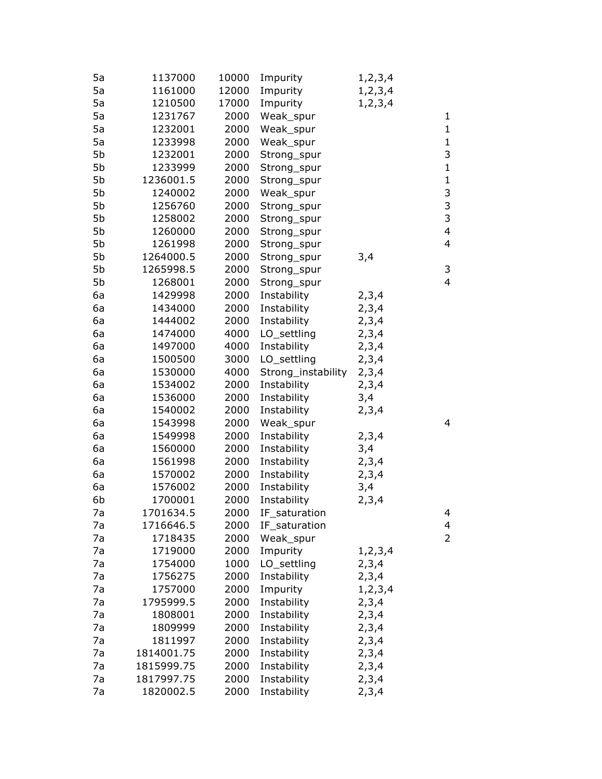| 5a | 1137000    | 10000 | Impurity           | 1, 2, 3, 4 |                         |
|----|------------|-------|--------------------|------------|-------------------------|
| 5a | 1161000    | 12000 | Impurity           | 1, 2, 3, 4 |                         |
| 5a | 1210500    | 17000 | Impurity           | 1, 2, 3, 4 |                         |
| 5a | 1231767    | 2000  | Weak_spur          |            | 1                       |
| 5a | 1232001    | 2000  | Weak_spur          |            | $\mathbf{1}$            |
| 5a | 1233998    | 2000  | Weak_spur          |            | $\mathbf{1}$            |
| 5b | 1232001    | 2000  | Strong_spur        |            | 3                       |
| 5b | 1233999    | 2000  | Strong_spur        |            | $\mathbf{1}$            |
| 5b | 1236001.5  | 2000  | Strong_spur        |            | $\mathbf{1}$            |
| 5b | 1240002    | 2000  | Weak_spur          |            | 3                       |
| 5b | 1256760    | 2000  | Strong_spur        |            | 3                       |
| 5b | 1258002    | 2000  | Strong_spur        |            | 3                       |
| 5b | 1260000    | 2000  | Strong_spur        |            | $\overline{\mathbf{4}}$ |
| 5b | 1261998    | 2000  | Strong_spur        |            | $\overline{4}$          |
| 5b | 1264000.5  | 2000  | Strong_spur        | 3,4        |                         |
| 5b | 1265998.5  | 2000  | Strong_spur        |            | 3                       |
| 5b | 1268001    | 2000  | Strong_spur        |            | $\overline{4}$          |
| 6a | 1429998    | 2000  | Instability        | 2,3,4      |                         |
| 6a | 1434000    | 2000  | Instability        | 2,3,4      |                         |
| 6a | 1444002    | 2000  | Instability        | 2, 3, 4    |                         |
| 6a | 1474000    | 4000  | LO_settling        | 2,3,4      |                         |
| 6a | 1497000    | 4000  | Instability        | 2,3,4      |                         |
| 6a | 1500500    | 3000  | LO_settling        | 2,3,4      |                         |
| 6a | 1530000    | 4000  | Strong_instability | 2,3,4      |                         |
| 6a | 1534002    | 2000  | Instability        | 2,3,4      |                         |
| 6a | 1536000    | 2000  | Instability        | 3,4        |                         |
| 6a | 1540002    | 2000  | Instability        | 2,3,4      |                         |
| 6a | 1543998    | 2000  | Weak_spur          |            | 4                       |
| 6a | 1549998    | 2000  | Instability        | 2,3,4      |                         |
| 6a | 1560000    | 2000  | Instability        | 3,4        |                         |
| 6a | 1561998    | 2000  | Instability        | 2,3,4      |                         |
| 6a | 1570002    | 2000  | Instability        | 2,3,4      |                         |
| 6a | 1576002    | 2000  | Instability        | 3,4        |                         |
| 6b | 1700001    | 2000  | Instability        | 2,3,4      |                         |
| 7a | 1701634.5  | 2000  | IF_saturation      |            | 4                       |
| 7a | 1716646.5  | 2000  | IF_saturation      |            | 4                       |
| 7a | 1718435    | 2000  | Weak_spur          |            | $\overline{2}$          |
| 7a | 1719000    | 2000  | Impurity           | 1, 2, 3, 4 |                         |
| 7a | 1754000    | 1000  | LO_settling        | 2,3,4      |                         |
| 7a | 1756275    | 2000  | Instability        | 2,3,4      |                         |
| 7a | 1757000    | 2000  | Impurity           | 1, 2, 3, 4 |                         |
| 7a | 1795999.5  | 2000  | Instability        | 2,3,4      |                         |
| 7a | 1808001    | 2000  | Instability        | 2,3,4      |                         |
| 7a | 1809999    | 2000  | Instability        | 2,3,4      |                         |
| 7a | 1811997    | 2000  | Instability        | 2, 3, 4    |                         |
| 7a | 1814001.75 | 2000  | Instability        | 2,3,4      |                         |
| 7a | 1815999.75 | 2000  | Instability        | 2,3,4      |                         |
| 7a | 1817997.75 | 2000  | Instability        | 2,3,4      |                         |
| 7a | 1820002.5  | 2000  | Instability        | 2,3,4      |                         |